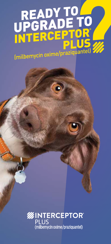## READY TO (milbemycin oxime/praziquantel)

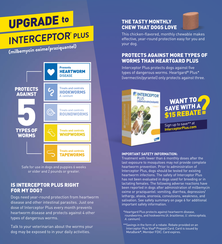

Safe for use in dogs and puppies 6 weeks or older and 2 pounds or greater.

#### IS INTERCEPTOR PLUS RIGHT FOR MY DOG?

Dogs need year-round protection from heartworm disease and other intestinal parasites. Just one dose of Interceptor Plus every month prevents heartworm disease and protects against 4 other types of dangerous worms.

Talk to your veterinarian about the worms your dog may be exposed to in your daily activities.

#### THE TASTY MONTHLY CHEW THAT DOGS LOVE



This chicken-flavored, monthly chewable makes effective, year-round protection easy for you and your dog.

#### PROTECTS AGAINST MORE TYPES OF WORMS THAN HEARTGARD PLUS

Interceptor Plus protects dogs against five types of dangerous worms. Heartgard® Plus\* (ivermectin/pyrantel) only protects against three.





Sign up to save\*\* at **InterceptorPlus.com**

#### **IMPORTANT SAFETY INFORMATION:**

Treatment with fewer than 6 monthly doses after the last exposure to mosquitoes may not provide complete heartworm prevention. Prior to administration of Interceptor Plus, dogs should be tested for existing heartworm infections. The safety of Interceptor Plus has not been evaluated in dogs used for breeding or in lactating females. The following adverse reactions have been reported in dogs after administration of milbemycin oxime or praziquantel: vomiting, diarrhea, depression/ lethargy, ataxia, anorexia, convulsions, weakness, and salivation. See safety summary on page 6 for additional important safety information.

- \*Heartgard Plus protects against heartworm disease, roundworms, and hookworms (*A. braziliense, U. stenocephala, A. caninum*).
- \*\*Savings in the form of a rebate. Rebate provided on an Interceptor Plus Visa**®** Prepaid Card. Card is issued by MetaBank**®**, Member FDIC. Card expires.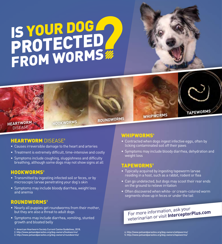### IS YOUR DOG PROTECTED FROM WORMS

**HEARTWORM DISEASE** 

**HOOKWORMS ROUNDWORMS WHIPWORMS TAPEWORMS**

#### **HEARTWORM DISEASE'**

- Causes irreversible damage to the heart and arteries
- Treatment is extremely difficult, time-intensive and costly
- Symptoms include coughing, sluggishness and difficulty breathing, although some dogs may not show signs at all

#### HOOKWORMS<sup>2</sup>

- Transmitted by ingesting infected soil or feces, or by microscopic larvae penetrating your dog's skin
- Symptoms may include bloody diarrhea, weight loss and anemia

#### **ROUNDWORMS**<sup>3</sup>

- Nearly all puppies get roundworms from their mother, but they are also a threat to adult dogs
- Symptoms may include diarrhea, vomiting, stunted growth and bloated belly

1. American Heartworm Society Current Canine Guidelines, 2018. 2. http://www.petsandparasites.org/dog-owners/hookworms/ 3. http://www.petsandparasites.org/dog-owners/roundworms/

#### **WHIPWORMS<sup>4</sup>**

- Contracted when dogs ingest infective eggs, often by licking contaminated soil off their paws
- Symptoms may include bloody diarrhea, dehydration and weight loss

#### **TAPEWORMS**<sup>5</sup>

- Typically acquired by ingesting tapeworm larvae residing in a host, such as a rabbit, rodent or flea
- Can go undetected, but dogs may scoot their rear ends on the ground to relieve irritation
- Often discovered when white- or cream-colored worm segments show up in feces or under the tail

For more information, ask your veterinarian or visit **InterceptorPlus.com**

4. http://www.petsandparasites.org/dog-owners/whipworms/ 5. http://www.petsandparasites.org/dog-owners/tapeworms/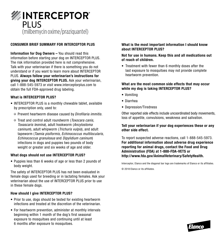

#### **CONSUMER BRIEF SUMMARY FOR INTERCEPTOR PLUS**  PLUS. **Always follow your veterinarian's instructions for**

**Information for Dog Owners –** You should read this information before starting your dog on INTERCEPTOR PLUS. The risk information provided here is not comprehensive. Talk with your veterinarian if there is something you do not understand or if you want to learn more about INTERCEPTOR PLUS. **Always follow your veterinarian's instructions for giving your dog INTERCEPTOR PLUS.** Ask your veterinarian, • Prevent heartworm disease caused by *Dirofilaria immitis.* call 1-888-545-5973 or visit www.interceptorplus.com to obtain the full FDA-approved drug labeling. *Toxascaris leonina*), adult hookworm (*Ancylostoma caninum*), adult whipworm (*Trichuris vulpis*), and adult **Information for Dog Owners –** You should read this

#### What is INTERCEPTOR PLUS? tapeworm (*Taenia pisiformis, Echinococcus multilocularis, Echinococcus granulosus* and *Dipylidium caninum*)

- INTERCEPTOR PLUS is a monthly chewable tablet, available by prescription only, used to:
	- where the control control or interceptor in the standard or if you want to learn more about the about it is a s<br> **What is about the standard or if you want to learn it is about the standard or if you want to learn it is ab**  $\circ$  Prevent neartworm disease caused by *Difoniaria immitis.*
	- $\circ$  Treat and control adult roundworm (*Toxocara canis, Toxascaris leoninoi* dedictional component (*interceptor component (noncodita came)* caninum), adult whipworm (*Trichuris vulpis*), and adult *tamining, actricing from (include ragie), and doen*<br>tapeworm (*Taenia pisiformis, Echinococcus multilocularis,* dipendial cannot *profession*, *Echinococcus manaloculario,*<br>Echinococcus granulosus and *Dipylidium caninum*) infections in dogs and puppies two pounds of body weight or greater and six weeks of age and older. Echinococcus granulosus and

#### What dogs should not use INTERCEPTOR PLUS? t dogs should not use INTERCEPTOR PLUS?

• Puppies less than 6 weeks of age or less than 2 pounds of body weight. *Toxascaris leonina*), adult hookworm (*Ancylostoma* 

The safety of INTERCEPTOR PLUS has not been evaluated in female dogs used for breeding or in lactating females. Ask your veterinarian about the use of **INTERCEPTOR PLUS** prior to use **bout International about 200** of and six weeks of and six weeks of plus.  $B$   $C$   $E$   $P$   $I$   $U$   $H$   $P$   $L$   $U$   $S$   $R$   $S$   $R$   $S$   $R$   $S$   $R$   $S$   $R$   $S$   $R$   $S$   $R$   $S$   $R$   $S$   $R$   $S$   $R$   $S$   $R$   $S$   $R$   $S$   $R$   $S$   $R$   $S$   $R$   $S$   $R$   $S$   $R$   $S$   $R$   $S$   $R$   $S$   $R$   $S$   $R$   $S$   $R$   $S$  *caninum*), adult whipworm (*Trichuris vulpis*), and adult tapeworm (*Taenia pisiformis, Echinococcus multilocularis,* 

#### **How should I give INTERCEPTOR PLUS? of reach of children. What dogs should not use INTERCEPTOR PLUS?**

- Prior to use, dogs should be tested for existing heartworm interior to doo, as go encent so to complete iterations in the veterinarian. ections and treated at the discreti
- For heartworm prevention, administer at monthly intervals beginning within 1 month of the dog's first seasonal exposure to mosquitoes and continuing until at least 6 months after exposure to mosquitoes.

#### What is the most important information I should know **while my dog is taking INTERCEPTOR PLUS? about INTERCEPTOR PLUS?** What is the most important information I should know **what is the most important**

#### **Not for use in humans. Keep this and all medications out** oi reach **other side effect. of reach of children.**

• Treatment with fewer than 6 monthly doses after the heartworm prevention. loss of appetite, convulsions, weakness and salivation. **For additional information about adverse drug experience**  last exposure to mosquitoes may not provide complete

#### What are the most common side effects that may occur<br>while we don't taking **WEEDSERTOR BLUCG outline in y and is** Interceptor, Elanco and the diagonal bar logo are trademarks of Elanco or its affiliates. **while my dog is taking INTERCEPTOR PLUS?**  $\overline{\phantom{a}}$

- Vomiting
- $T$  . Diagrams reactions, call 1-888-5973. **For additional information about adverse drug experience adverse drug experience adverse drug experience adverse drug experience and about adverse drug experience and about adverse drug experience and about adverse drug e** • Diarrhea
- **•** Depression/Tiredness • Depression/Tiredness

Other reported side effects include uncoordinated body movements, loss of appetite, convulsions, weakness and salivation.

#### Tell your veterinarian if your dog experiences these or any other side effect.

To report suspected adverse reactions, call 1-888-545-5973. **For additional information about adverse drug experience reporting for animal drugs, contact the Food and Drug Administration (FDA) at 1-888-FDA-VETS or http://www.fda.gov/AnimalVeterinary/SafetyHealth.** 

Interceptor, Elanco and the diagonal bar logo are trademarks of Elanco or its affiliates.

© 2018 Elanco or its affiliates.